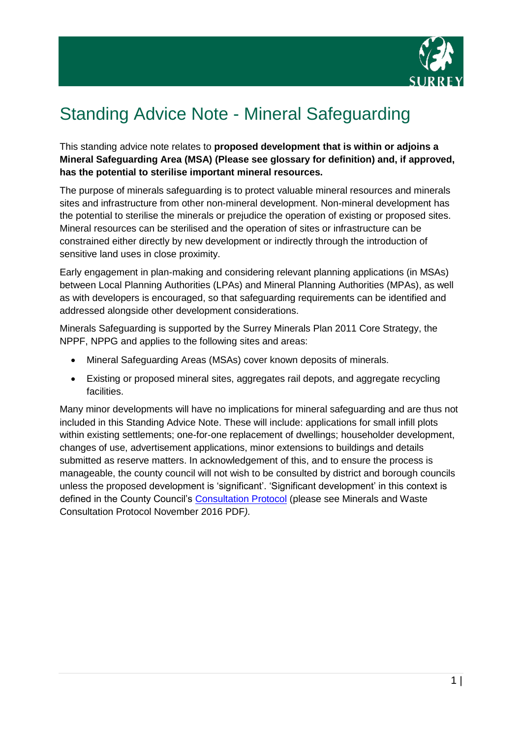

# Standing Advice Note - Mineral Safeguarding

This standing advice note relates to **proposed development that is within or adjoins a Mineral Safeguarding Area (MSA) (Please see glossary for definition) and, if approved, has the potential to sterilise important mineral resources.**

The purpose of minerals safeguarding is to protect valuable mineral resources and minerals sites and infrastructure from other non-mineral development. Non-mineral development has the potential to sterilise the minerals or prejudice the operation of existing or proposed sites. Mineral resources can be sterilised and the operation of sites or infrastructure can be constrained either directly by new development or indirectly through the introduction of sensitive land uses in close proximity.

Early engagement in plan-making and considering relevant planning applications (in MSAs) between Local Planning Authorities (LPAs) and Mineral Planning Authorities (MPAs), as well as with developers is encouraged, so that safeguarding requirements can be identified and addressed alongside other development considerations.

Minerals Safeguarding is supported by the Surrey Minerals Plan 2011 Core Strategy, the NPPF, NPPG and applies to the following sites and areas:

- Mineral Safeguarding Areas (MSAs) cover known deposits of minerals.
- Existing or proposed mineral sites, aggregates rail depots, and aggregate recycling facilities.

Many minor developments will have no implications for mineral safeguarding and are thus not included in this Standing Advice Note. These will include: applications for small infill plots within existing settlements; one-for-one replacement of dwellings; householder development, changes of use, advertisement applications, minor extensions to buildings and details submitted as reserve matters. In acknowledgement of this, and to ensure the process is manageable, the county council will not wish to be consulted by district and borough councils unless the proposed development is 'significant'. 'Significant development' in this context is defined in the County Council's [Consultation Protocol](https://www.surreycc.gov.uk/land-planning-and-development/minerals-and-waste/safeguarding) (please see Minerals and Waste Consultation Protocol November 2016 PDF*).*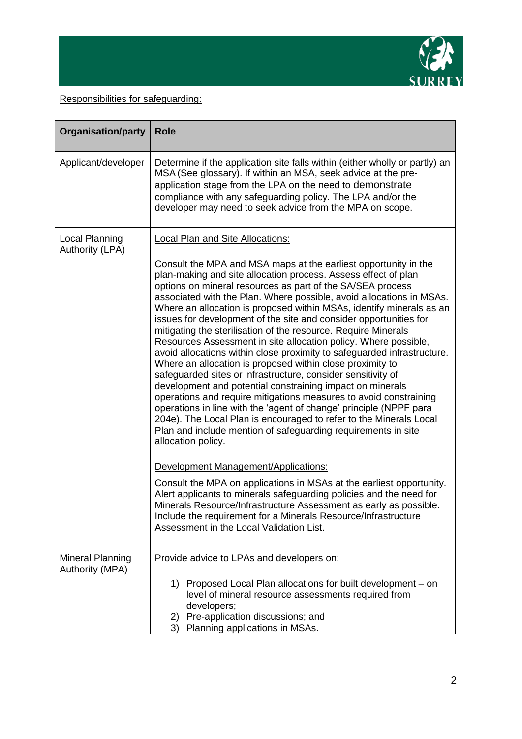

Responsibilities for safeguarding:

| <b>Organisation/party</b>                  | <b>Role</b>                                                                                                                                                                                                                                                                                                                                                                                                                                                                                                                                                                                                                                                                                                                                                                                                                                                                                                                                                                                                                                                                                                                                                                                                                                                                                                                                                                                                                                                                                                                                                 |
|--------------------------------------------|-------------------------------------------------------------------------------------------------------------------------------------------------------------------------------------------------------------------------------------------------------------------------------------------------------------------------------------------------------------------------------------------------------------------------------------------------------------------------------------------------------------------------------------------------------------------------------------------------------------------------------------------------------------------------------------------------------------------------------------------------------------------------------------------------------------------------------------------------------------------------------------------------------------------------------------------------------------------------------------------------------------------------------------------------------------------------------------------------------------------------------------------------------------------------------------------------------------------------------------------------------------------------------------------------------------------------------------------------------------------------------------------------------------------------------------------------------------------------------------------------------------------------------------------------------------|
| Applicant/developer                        | Determine if the application site falls within (either wholly or partly) an<br>MSA (See glossary). If within an MSA, seek advice at the pre-<br>application stage from the LPA on the need to demonstrate<br>compliance with any safeguarding policy. The LPA and/or the<br>developer may need to seek advice from the MPA on scope.                                                                                                                                                                                                                                                                                                                                                                                                                                                                                                                                                                                                                                                                                                                                                                                                                                                                                                                                                                                                                                                                                                                                                                                                                        |
| Local Planning<br><b>Authority (LPA)</b>   | <b>Local Plan and Site Allocations:</b><br>Consult the MPA and MSA maps at the earliest opportunity in the<br>plan-making and site allocation process. Assess effect of plan<br>options on mineral resources as part of the SA/SEA process<br>associated with the Plan. Where possible, avoid allocations in MSAs.<br>Where an allocation is proposed within MSAs, identify minerals as an<br>issues for development of the site and consider opportunities for<br>mitigating the sterilisation of the resource. Require Minerals<br>Resources Assessment in site allocation policy. Where possible,<br>avoid allocations within close proximity to safeguarded infrastructure.<br>Where an allocation is proposed within close proximity to<br>safeguarded sites or infrastructure, consider sensitivity of<br>development and potential constraining impact on minerals<br>operations and require mitigations measures to avoid constraining<br>operations in line with the 'agent of change' principle (NPPF para<br>204e). The Local Plan is encouraged to refer to the Minerals Local<br>Plan and include mention of safeguarding requirements in site<br>allocation policy.<br>Development Management/Applications:<br>Consult the MPA on applications in MSAs at the earliest opportunity.<br>Alert applicants to minerals safeguarding policies and the need for<br>Minerals Resource/Infrastructure Assessment as early as possible.<br>Include the requirement for a Minerals Resource/Infrastructure<br>Assessment in the Local Validation List. |
| <b>Mineral Planning</b><br>Authority (MPA) | Provide advice to LPAs and developers on:<br>1) Proposed Local Plan allocations for built development – on<br>level of mineral resource assessments required from<br>developers;<br>Pre-application discussions; and<br>2)<br>3)<br>Planning applications in MSAs.                                                                                                                                                                                                                                                                                                                                                                                                                                                                                                                                                                                                                                                                                                                                                                                                                                                                                                                                                                                                                                                                                                                                                                                                                                                                                          |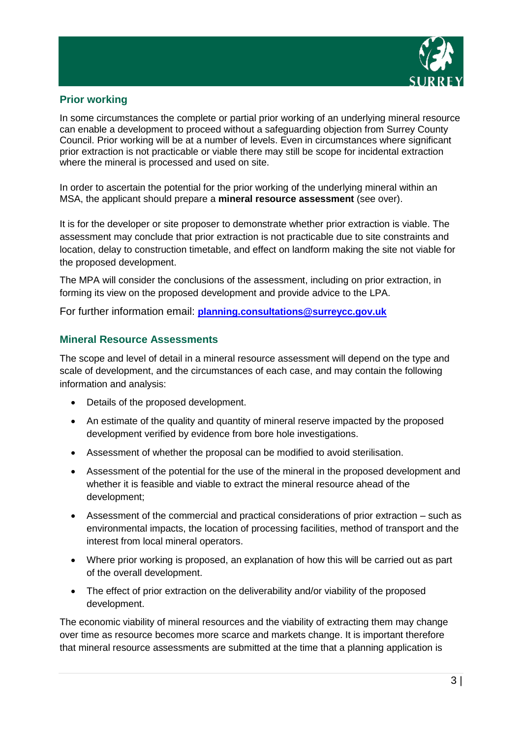

### **Prior working**

In some circumstances the complete or partial prior working of an underlying mineral resource can enable a development to proceed without a safeguarding objection from Surrey County Council. Prior working will be at a number of levels. Even in circumstances where significant prior extraction is not practicable or viable there may still be scope for incidental extraction where the mineral is processed and used on site.

In order to ascertain the potential for the prior working of the underlying mineral within an MSA, the applicant should prepare a **mineral resource assessment** (see over).

It is for the developer or site proposer to demonstrate whether prior extraction is viable. The assessment may conclude that prior extraction is not practicable due to site constraints and location, delay to construction timetable, and effect on landform making the site not viable for the proposed development.

The MPA will consider the conclusions of the assessment, including on prior extraction, in forming its view on the proposed development and provide advice to the LPA.

For further information email: **planning.consultations@surreycc.gov.uk**

### **Mineral Resource Assessments**

The scope and level of detail in a mineral resource assessment will depend on the type and scale of development, and the circumstances of each case, and may contain the following information and analysis:

- Details of the proposed development.
- An estimate of the quality and quantity of mineral reserve impacted by the proposed development verified by evidence from bore hole investigations.
- Assessment of whether the proposal can be modified to avoid sterilisation.
- Assessment of the potential for the use of the mineral in the proposed development and whether it is feasible and viable to extract the mineral resource ahead of the development;
- Assessment of the commercial and practical considerations of prior extraction such as environmental impacts, the location of processing facilities, method of transport and the interest from local mineral operators.
- Where prior working is proposed, an explanation of how this will be carried out as part of the overall development.
- The effect of prior extraction on the deliverability and/or viability of the proposed development.

The economic viability of mineral resources and the viability of extracting them may change over time as resource becomes more scarce and markets change. It is important therefore that mineral resource assessments are submitted at the time that a planning application is